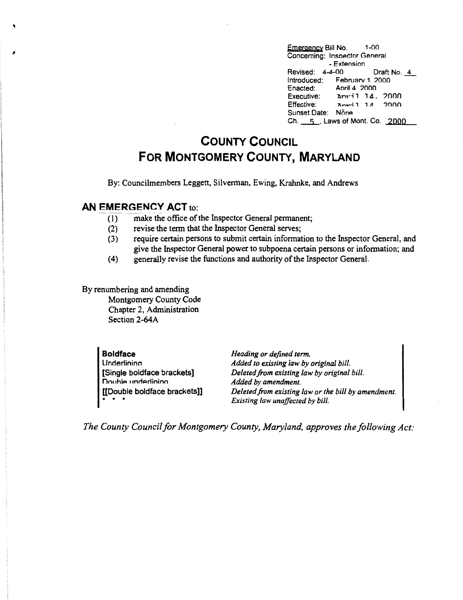, Emergency Bill No. (1-00)<br>
Supervisory Sill No. (1-00)<br>
Concerning: Increased Concerning: Increased Concerning: Increased Concerning: Concerning: lnsoector General - Extension Revised: 4-4-00 Draft No. 4 Introduced: Februarv 1. 2000 Enacted: Aoril 4, 2000<br>Executive: Amril 14. Executive:  $\Delta m \cdot i$ , 14. 2000<br>Effective:  $\Delta m \cdot i$ , 14. 2000  $R_{\text{max}}$ ;  $11 \quad 2000$ Sunset Date: None Ch. \_\_\_s\_, Laws of Mont. Co. 2000

## **COUNTY COUNCIL FOR MONTGOMERY COUNTY, MARYLAND**

By: Councilmembers Leggett, Silverman, Ewing, Krahnke, and Andrews

## **AN EMERGENCY ACT to:**

- (1) make the office of the Inspector General permanent;
- (2) revise the term that the Inspector General serves;
- (3) require certain persons to submit certain information to the Inspector General, and give the Inspector General power to subpoena certain persons or information; and
- (4) generally revise the functions and authority of the Inspector General.

By renumbering and amending Montgomery County Code Chapter 2, Administration Section 2-64A

> **Boldface**  Underlinina [Single boldface brackets] Double underlining [[Double boldface brackets]] \* \* \* *Heading or defined term. Added to existing law by original bill. Deleted.from existing law by original bill. Added by amendment. Deleted from existing law or the bill by amendment. Existing law unaffected by bill.*

*The County Council for Montgomery County, Maryland, approves the following Act:*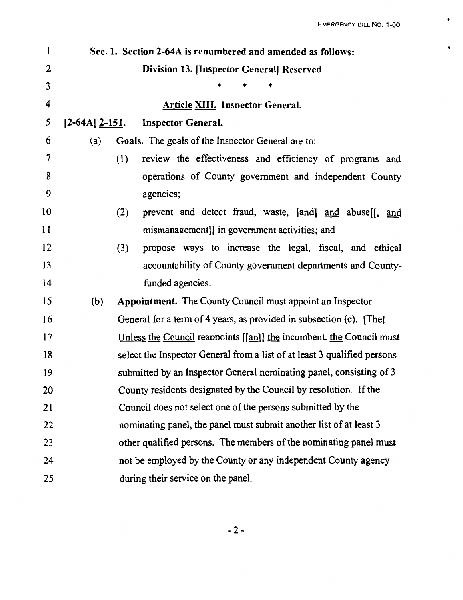$\bullet$ 

 $\blacksquare$ 

| $\mathbf{l}$   |                     | Sec. 1. Section 2-64A is renumbered and amended as follows:              |
|----------------|---------------------|--------------------------------------------------------------------------|
| $\overline{2}$ |                     | Division 13. [Inspector General] Reserved                                |
| $\mathbf{3}$   |                     | ×                                                                        |
| 4              |                     | <b>Article XIII. Inspector General.</b>                                  |
| 5              | $[2-64A]$ $2-151$ . | <b>Inspector General.</b>                                                |
| 6              | (a)                 | Goals. The goals of the Inspector General are to:                        |
| 7              | (1)                 | review the effectiveness and efficiency of programs and                  |
| 8              |                     | operations of County government and independent County                   |
| 9              |                     | agencies;                                                                |
| 10             | (2)                 | prevent and detect fraud, waste, [and] and abuse[[, and                  |
| 11             |                     | mismanagement]] in government activities; and                            |
| 12             | (3)                 | propose ways to increase the legal, fiscal, and ethical                  |
| 13             |                     | accountability of County government departments and County-              |
| 14             |                     | funded agencies.                                                         |
| 15             | (b)                 | <b>Appointment.</b> The County Council must appoint an Inspector         |
| 16             |                     | General for a term of 4 years, as provided in subsection (c). [The]      |
| 17             |                     | Unless the Council reappoints [[an]] the incumbent the Council must      |
| 18             |                     | select the Inspector General from a list of at least 3 qualified persons |
| 19             |                     | submitted by an Inspector General nominating panel, consisting of 3      |
| 20             |                     | County residents designated by the Council by resolution. If the         |
| 21             |                     | Council does not select one of the persons submitted by the              |
| 22             |                     | nominating panel, the panel must submit another list of at least 3       |
| 23             |                     | other qualified persons. The members of the nominating panel must        |
| 24             |                     | not be employed by the County or any independent County agency           |
| 25             |                     | during their service on the panel.                                       |

-2-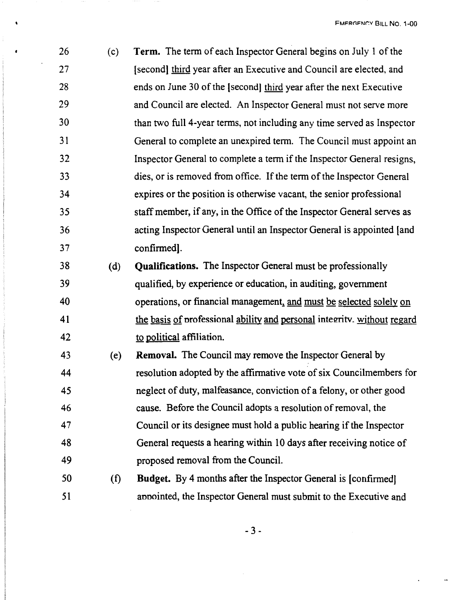| 26 | (c) | Term. The term of each Inspector General begins on July 1 of the       |
|----|-----|------------------------------------------------------------------------|
| 27 |     | [second] third year after an Executive and Council are elected, and    |
| 28 |     | ends on June 30 of the [second] third year after the next Executive    |
| 29 |     | and Council are elected. An Inspector General must not serve more      |
| 30 |     | than two full 4-year terms, not including any time served as Inspector |
| 31 |     | General to complete an unexpired term. The Council must appoint an     |
| 32 |     | Inspector General to complete a term if the Inspector General resigns, |
| 33 |     | dies, or is removed from office. If the term of the Inspector General  |
| 34 |     | expires or the position is otherwise vacant, the senior professional   |
| 35 |     | staff member, if any, in the Office of the Inspector General serves as |
| 36 |     | acting Inspector General until an Inspector General is appointed [and  |
| 37 |     | confirmed].                                                            |
| 38 | (d) | <b>Qualifications.</b> The Inspector General must be professionally    |
|    |     |                                                                        |

- 39 qualified, by experience or education, in auditing, government 40 operations, or financial management, and must be selected solely on 41 the basis of professional ability and personal integrity, without regard 42 to political affiliation.
- 43 (e) **Removal.** The Council may remove the Inspector General by 44 resolution adopted by the affirmative vote of six Councilmembers for 45 neglect of duty, malfeasance, conviction of a felony, or other good 46 cause. Before the Council adopts a resolution of removal, the 47 Council or its designee must hold a public hearing if the Inspector 48 General requests a hearing within 10 days after receiving notice of 49 proposed removal from the Council.
- 50 (f) **Budget.** By 4 months after the Inspector General is [confirmed] 51 annointed, the Inspector General must submit to the Executive and

- 3 -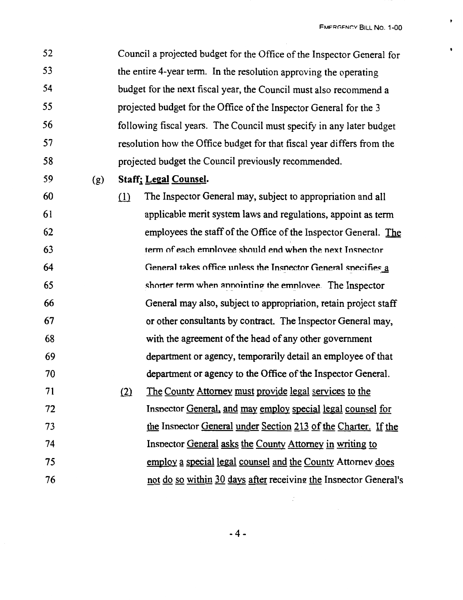**EMERGENCY BILL NO. 1-00** 

 $\bullet$ 

52 53 54 55 56 57 58 Council a projected budget for the Office of the Inspector General for the entire 4-year term. In the resolution approving the operating budget for the next fiscal year, the Council must also recommend a projected budget for the Office of the Inspector General for the 3 following fiscal years. The Council must specify in any later budget resolution how the Office budget for that fiscal year differs from the projected budget the Council previously recommended.

59 (g) **Staffi Legal Counsel.** 

60 ill The Inspector General may, subject to appropriation and all 61 62 63 64 65 66 67 68 69 70 71 72 73 74 75 76 applicable merit system laws and regulations, appoint as term employees the staff of the Office of the Inspector General. The term of each employee should end when the next Inspector General takes office unless the Inspector General specifies a shorter term when annointing the emnlovee. The Inspector General may also, subject to appropriation, retain project staff or other consultants by contract. The Inspector General may, with the agreement of the head of any other government department or agency, temporarily detail an employee of that department or agency to the Office of the Inspector General. (2) The County Attorney must provide legal services to the Insnector General, and may employ special legal counsel for the Insnector General under Section 213 of the Charter. If the Insnector General asks the County Attorney in writing to employ a special legal counsel and the County Attorney does not do so within 30 days after receiving the Inspector General's

 $\ddot{\cdot}$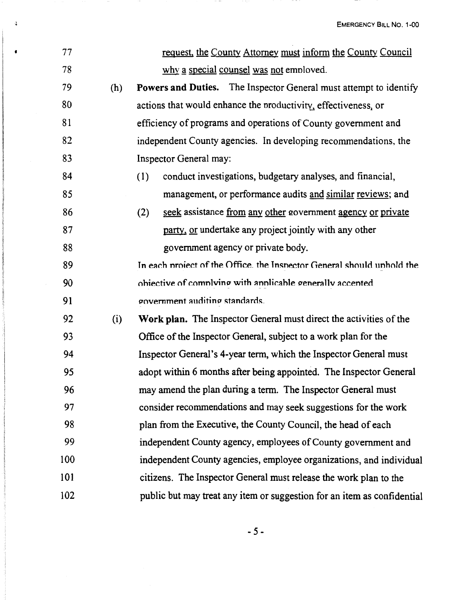EMERGENCY BILL NO. 1-00

| 77  |     | request, the County Attorney must inform the County Council              |
|-----|-----|--------------------------------------------------------------------------|
| 78  |     | why a special counsel was not employed.                                  |
| 79  | (h) | <b>Powers and Duties.</b> The Inspector General must attempt to identify |
| 80  |     | actions that would enhance the productivity, effectiveness, or           |
| 81  |     | efficiency of programs and operations of County government and           |
| 82  |     | independent County agencies. In developing recommendations, the          |
| 83  |     | Inspector General may:                                                   |
| 84  |     | conduct investigations, budgetary analyses, and financial,<br>(1)        |
| 85  |     | management, or performance audits and similar reviews; and               |
| 86  |     | seek assistance from any other government agency or private<br>(2)       |
| 87  |     | party, or undertake any project jointly with any other                   |
| 88  |     | government agency or private body.                                       |
| 89  |     | In each project of the Office, the Inspector General should unhold the   |
| 90  |     | objective of complying with applicable generally accented                |
| 91  |     | government auditing standards.                                           |
| 92  | (i) | Work plan. The Inspector General must direct the activities of the       |
| 93  |     | Office of the Inspector General, subject to a work plan for the          |
| 94  |     | Inspector General's 4-year term, which the Inspector General must        |
| 95  |     | adopt within 6 months after being appointed. The Inspector General       |
| 96  |     | may amend the plan during a term. The Inspector General must             |
| 97  |     | consider recommendations and may seek suggestions for the work           |
| 98  |     | plan from the Executive, the County Council, the head of each            |
| 99  |     | independent County agency, employees of County government and            |
| 100 |     | independent County agencies, employee organizations, and individual      |
| 101 |     | citizens. The Inspector General must release the work plan to the        |
| 102 |     | public but may treat any item or suggestion for an item as confidential  |

 $\mathbf{3}$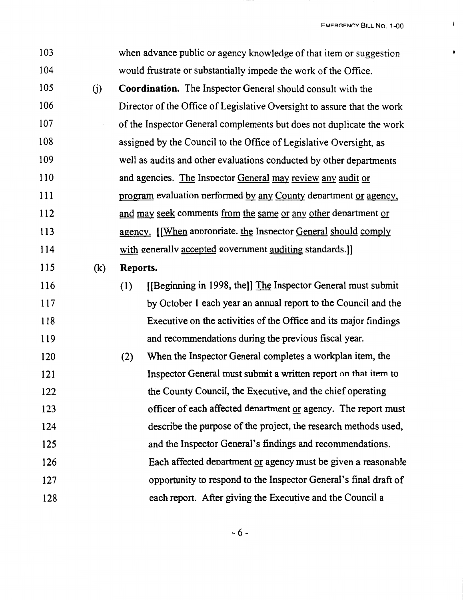$\mathbf{f}$ 

 $\bullet$ 

| 103 |     | when advance public or agency knowledge of that item or suggestion      |
|-----|-----|-------------------------------------------------------------------------|
| 104 |     | would frustrate or substantially impede the work of the Office.         |
| 105 | (j) | <b>Coordination.</b> The Inspector General should consult with the      |
| 106 |     | Director of the Office of Legislative Oversight to assure that the work |
| 107 |     | of the Inspector General complements but does not duplicate the work    |
| 108 |     | assigned by the Council to the Office of Legislative Oversight, as      |
| 109 |     | well as audits and other evaluations conducted by other departments     |
| 110 |     | and agencies. The Inspector General may review any audit or             |
| 111 |     | program evaluation performed by any County department or agency.        |
| 112 |     | and may seek comments from the same or any other department or          |
| 113 |     | agency. [When appropriate. the Inspector General should comply          |
| 114 |     | with generally accepted government auditing standards.]]                |
| 115 | (k) | Reports.                                                                |
| 116 |     | [[Beginning in 1998, the]] The Inspector General must submit<br>(1)     |
| 117 |     | by October 1 each year an annual report to the Council and the          |
| 118 |     | Executive on the activities of the Office and its major findings        |
| 119 |     | and recommendations during the previous fiscal year.                    |
| 120 |     | When the Inspector General completes a workplan item, the<br>(2)        |
| 121 |     | Inspector General must submit a written report on that item to          |
| 122 |     | the County Council, the Executive, and the chief operating              |
| 123 |     | officer of each affected department or agency. The report must          |
| 124 |     | describe the purpose of the project, the research methods used,         |
| 125 |     | and the Inspector General's findings and recommendations.               |
| 126 |     | Each affected denartment or agency must be given a reasonable           |
| 127 |     | opportunity to respond to the Inspector General's final draft of        |
| 128 |     | each report. After giving the Executive and the Council a               |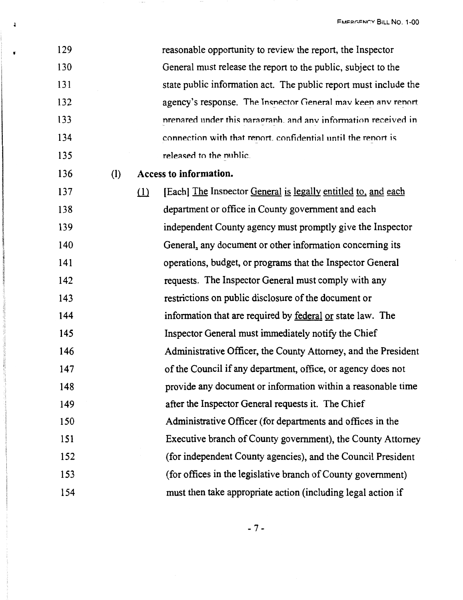| 129 |     |     | reasonable opportunity to review the report, the Inspector       |
|-----|-----|-----|------------------------------------------------------------------|
| 130 |     |     | General must release the report to the public, subject to the    |
| 131 |     |     | state public information act. The public report must include the |
| 132 |     |     | agency's response. The Insnector General may keen any renort     |
| 133 |     |     | prepared under this paragraph, and any information received in   |
| 134 |     |     | connection with that report, confidential until the report is    |
| 135 |     |     | released to the nublic.                                          |
| 136 | (1) |     | Access to information.                                           |
| 137 |     | (1) | [Each] The Inspector General is legally entitled to, and each    |
| 138 |     |     | department or office in County government and each               |
| 139 |     |     | independent County agency must promptly give the Inspector       |
| 140 |     |     | General, any document or other information concerning its        |
| 141 |     |     | operations, budget, or programs that the Inspector General       |
| 142 |     |     | requests. The Inspector General must comply with any             |
| 143 |     |     | restrictions on public disclosure of the document or             |
| 144 |     |     | information that are required by federal or state law. The       |
| 145 |     |     | Inspector General must immediately notify the Chief              |
| 146 |     |     | Administrative Officer, the County Attorney, and the President   |
| 147 |     |     | of the Council if any department, office, or agency does not     |
| 148 |     |     | provide any document or information within a reasonable time     |
| 149 |     |     | after the Inspector General requests it. The Chief               |
| 150 |     |     | Administrative Officer (for departments and offices in the       |
| 151 |     |     | Executive branch of County government), the County Attorney      |
| 152 |     |     | (for independent County agencies), and the Council President     |
| 153 |     |     | (for offices in the legislative branch of County government)     |
| 154 |     |     | must then take appropriate action (including legal action if     |

 $\sim$   $\sim$ 

 $\mathbf{1}$ 

 $\bullet$ 

 $\sim$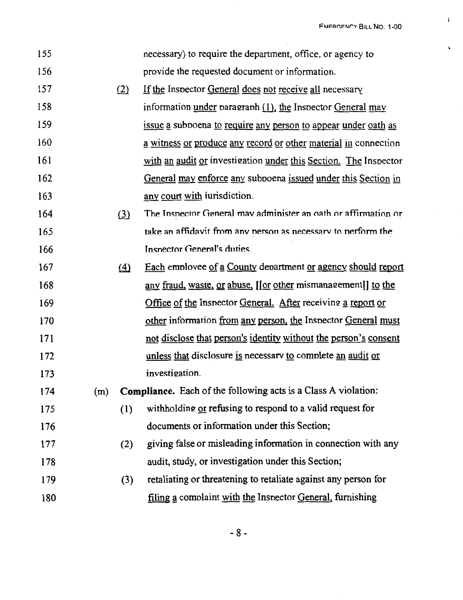FMFRGFNOY BILL NO. 1-00

 $\pmb{\mathfrak{t}}$ 

 $\hat{\phantom{a}}$ 

| 155 |     |             | necessary) to require the department, office, or agency to       |
|-----|-----|-------------|------------------------------------------------------------------|
| 156 |     |             | provide the requested document or information.                   |
| 157 |     | (2)         | If the Inspector General does not receive all necessary          |
| 158 |     |             | information under paragraph $(1)$ , the Inspector General may    |
| 159 |     |             | issue a subpoena to require any person to appear under oath as   |
| 160 |     |             | a witness or produce any record or other material in connection  |
| 161 |     |             | with an audit or investigation under this Section. The Inspector |
| 162 |     |             | General may enforce any subpoena issued under this Section in    |
| 163 |     |             | any court with iurisdiction.                                     |
| 164 |     | (3)         | The Inspector General may administer an oath or affirmation or   |
| 165 |     |             | take an affidavit from any nerson as necessary to nerform the    |
| 166 |     |             | Inspector General's duties.                                      |
| 167 |     | $\triangle$ | Each employee of a County department or agency should report     |
| 168 |     |             | any fraud, waste, or abuse, [[or other mismanagement]] to the    |
| 169 |     |             | Office of the Inspector General. After receiving a report or     |
| 170 |     |             | other information from any person, the Inspector General must    |
| 171 |     |             | not disclose that person's identity without the person's consent |
| 172 |     |             | unless that disclosure is necessary to complete an audit or      |
| 173 |     |             | investigation.                                                   |
| 174 | (m) |             | Compliance. Each of the following acts is a Class A violation:   |
| 175 |     | (1)         | withholding or refusing to respond to a valid request for        |
| 176 |     |             | documents or information under this Section;                     |
| 177 |     | (2)         | giving false or misleading information in connection with any    |
| 178 |     |             | audit, study, or investigation under this Section;               |
| 179 |     | (3)         | retaliating or threatening to retaliate against any person for   |
| 180 |     |             | filing a complaint with the Inspector General, furnishing        |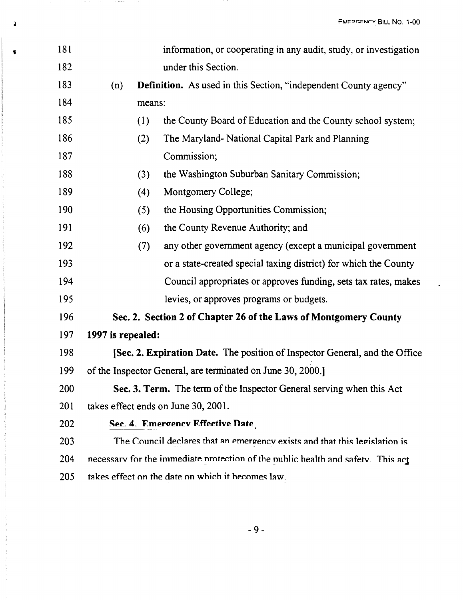FMERGENCY BILL NO. 1-00

| 181 |                   | information, or cooperating in any audit, study, or investigation                |
|-----|-------------------|----------------------------------------------------------------------------------|
| 182 |                   | under this Section.                                                              |
| 183 | (n)               | <b>Definition.</b> As used in this Section, "independent County agency"          |
| 184 |                   | means:                                                                           |
| 185 | (1)               | the County Board of Education and the County school system;                      |
| 186 | (2)               | The Maryland- National Capital Park and Planning                                 |
| 187 |                   | Commission;                                                                      |
| 188 | (3)               | the Washington Suburban Sanitary Commission;                                     |
| 189 | (4)               | Montgomery College;                                                              |
| 190 | (5)               | the Housing Opportunities Commission;                                            |
| 191 | (6)               | the County Revenue Authority; and                                                |
| 192 | (7)               | any other government agency (except a municipal government                       |
| 193 |                   | or a state-created special taxing district) for which the County                 |
| 194 |                   | Council appropriates or approves funding, sets tax rates, makes                  |
| 195 |                   | levies, or approves programs or budgets.                                         |
| 196 |                   | Sec. 2. Section 2 of Chapter 26 of the Laws of Montgomery County                 |
| 197 | 1997 is repealed: |                                                                                  |
| 198 |                   | [Sec. 2. Expiration Date. The position of Inspector General, and the Office      |
| 199 |                   | of the Inspector General, are terminated on June 30, 2000.                       |
| 200 |                   | Sec. 3. Term. The term of the Inspector General serving when this Act            |
| 201 |                   | takes effect ends on June 30, 2001.                                              |
| 202 |                   | Sec. 4. Emergency Effective Date.                                                |
| 203 |                   | The Council declares that an emergency exists and that this legislation is       |
| 204 |                   | necessary for the immediate protection of the public health and safety. This act |
| 205 |                   | takes effect on the date on which it becomes law.                                |

**1** 

 $\sim$  0.00  $\pm$ 

 $\mathcal{O}(\mathcal{O})$  and  $\mathcal{O}(\mathcal{O})$